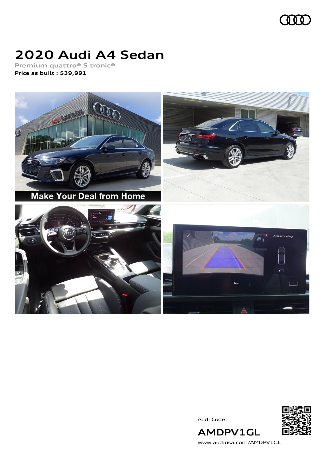

## **2020 Audi A4 Sedan**

**Premium quattro® S tronic® Price as built [:](#page-8-0) \$39,991**



Audi Code



**AMDPV1GL** [www.audiusa.com/AMDPV1GL](https://www.audiusa.com/AMDPV1GL)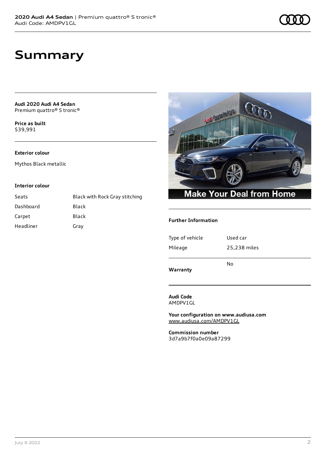### **Summary**

**Audi 2020 Audi A4 Sedan** Premium quattro® S tronic®

**Price as buil[t](#page-8-0)** \$39,991

#### **Exterior colour**

Mythos Black metallic

#### **Interior colour**

| Seats     | <b>Black with Rock Gray stitching</b> |
|-----------|---------------------------------------|
| Dashboard | Black                                 |
| Carpet    | Black                                 |
| Headliner | Gray                                  |



#### **Further Information**

| Warranty        |              |
|-----------------|--------------|
|                 | No           |
| Mileage         | 25,238 miles |
| Type of vehicle | Used car     |
|                 |              |

**Audi Code**

AMDPV1GL

**Your configuration on www.audiusa.com** [www.audiusa.com/AMDPV1GL](https://www.audiusa.com/AMDPV1GL)

**Commission number** 3d7a9b7f0a0e09a87299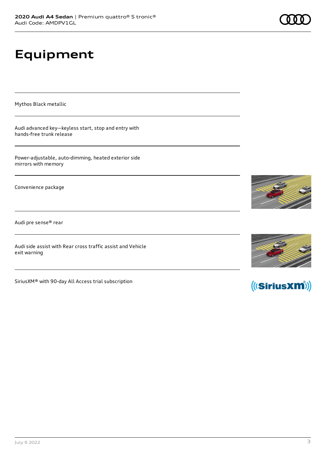# **Equipment**

Mythos Black metallic

Audi advanced key—keyless start, stop and entry with hands-free trunk release

Power-adjustable, auto-dimming, heated exterior side mirrors with memory

Convenience package

Audi pre sense® rear

Audi side assist with Rear cross traffic assist and Vehicle exit warning

SiriusXM® with 90-day All Access trial subscription







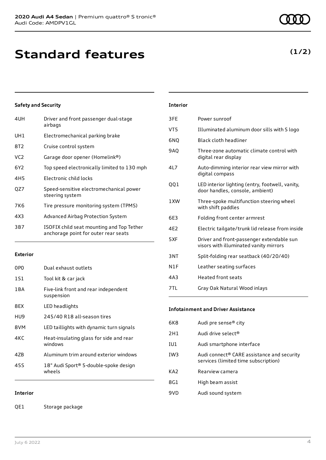### **Standard features**

#### **Safety and Security**

| 4UH             | Driver and front passenger dual-stage<br>airbags                                  |
|-----------------|-----------------------------------------------------------------------------------|
| UH1             | Electromechanical parking brake                                                   |
| 8T2             | Cruise control system                                                             |
| VC2             | Garage door opener (Homelink®)                                                    |
| 6Y2             | Top speed electronically limited to 130 mph                                       |
| 4H <sub>5</sub> | Electronic child locks                                                            |
| QZ7             | Speed-sensitive electromechanical power<br>steering system                        |
| 7K6             | Tire pressure monitoring system (TPMS)                                            |
| 4X3             | Advanced Airbag Protection System                                                 |
| 3B7             | ISOFIX child seat mounting and Top Tether<br>anchorage point for outer rear seats |
|                 |                                                                                   |

#### **Exterior**

| 0PO   | Dual exhaust outlets                               |
|-------|----------------------------------------------------|
| 151   | Tool kit & car jack                                |
| 1 B A | Five-link front and rear independent<br>suspension |
| 8FX   | LED headlights                                     |
| HU9   | 245/40 R18 all-season tires                        |
| 8VM   | LED taillights with dynamic turn signals           |
| 4KC   | Heat-insulating glass for side and rear<br>windows |
| 47B   | Aluminum trim around exterior windows              |
| 455   | 18" Audi Sport® 5-double-spoke design<br>wheels    |

#### **Interior**

QE1 Storage package

### **Interior**

| 3FE             | Power sunroof                                                                       |
|-----------------|-------------------------------------------------------------------------------------|
| VT5             | Illuminated aluminum door sills with S logo                                         |
| 6NQ             | Black cloth headliner                                                               |
| 9AQ             | Three-zone automatic climate control with<br>digital rear display                   |
| 417             | Auto-dimming interior rear view mirror with<br>digital compass                      |
| 001             | LED interior lighting (entry, footwell, vanity,<br>door handles, console, ambient)  |
| 1 XW            | Three-spoke multifunction steering wheel<br>with shift paddles                      |
| 6E3             | Folding front center armrest                                                        |
| 4F <sub>2</sub> | Electric tailgate/trunk lid release from inside                                     |
| 5XF             | Driver and front-passenger extendable sun<br>visors with illuminated vanity mirrors |
| 3NT             | Split-folding rear seatback (40/20/40)                                              |
| N1F             | Leather seating surfaces                                                            |
| 4A3             | Heated front seats                                                                  |
| 7TL             | Gray Oak Natural Wood inlays                                                        |
|                 |                                                                                     |

#### **Infotainment and Driver Assistance**

| 6K8             | Audi pre sense <sup>®</sup> city                                                               |
|-----------------|------------------------------------------------------------------------------------------------|
| 2H1             | Audi drive select <sup>®</sup>                                                                 |
| IU1             | Audi smartphone interface                                                                      |
| IW <sub>3</sub> | Audi connect <sup>®</sup> CARE assistance and security<br>services (limited time subscription) |
| KA <sub>2</sub> | Rearview camera                                                                                |
| 8G1             | High beam assist                                                                               |
| 9VD             | Audi sound system                                                                              |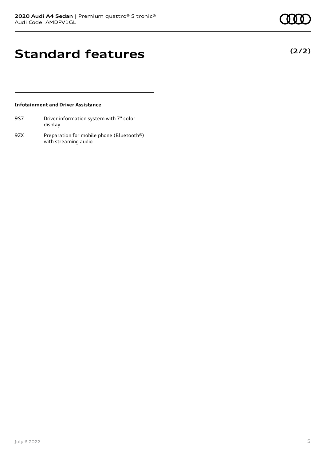**(2/2)**

### **Standard features**

#### **Infotainment and Driver Assistance**

| 9S7 | Driver information system with 7" color |
|-----|-----------------------------------------|
|     | display                                 |

9ZX Preparation for mobile phone (Bluetooth®) with streaming audio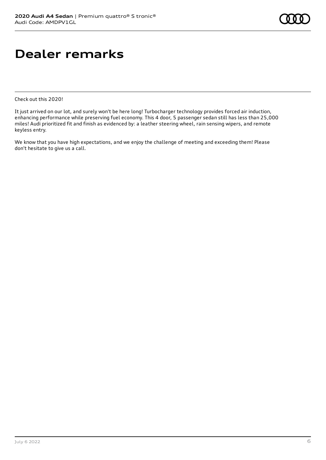### **Dealer remarks**

Check out this 2020!

It just arrived on our lot, and surely won't be here long! Turbocharger technology provides forced air induction, enhancing performance while preserving fuel economy. This 4 door, 5 passenger sedan still has less than 25,000 miles! Audi prioritized fit and finish as evidenced by: a leather steering wheel, rain sensing wipers, and remote keyless entry.

We know that you have high expectations, and we enjoy the challenge of meeting and exceeding them! Please don't hesitate to give us a call.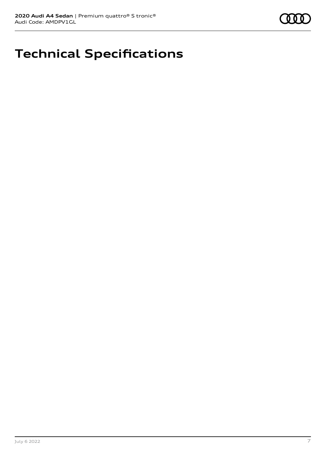

## **Technical Specifications**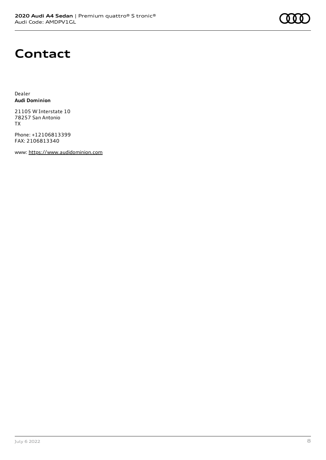### **Contact**

Dealer **Audi Dominion**

21105 W Interstate 10 78257 San Antonio TX

Phone: +12106813399 FAX: 2106813340

www: [https://www.audidominion.com](https://www.audidominion.com/)